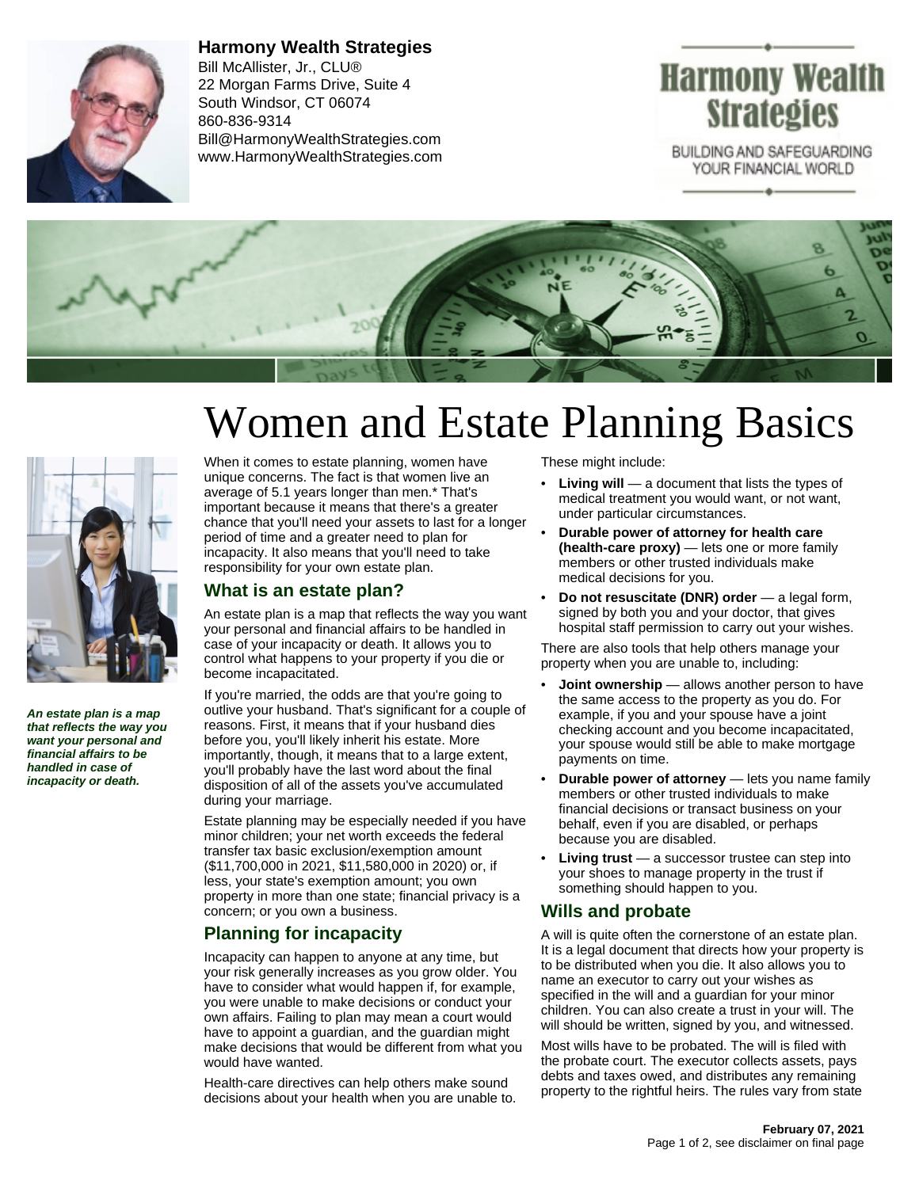

**Harmony Wealth Strategies** Bill McAllister, Jr., CLU® 22 Morgan Farms Drive, Suite 4 South Windsor, CT 06074 860-836-9314 Bill@HarmonyWealthStrategies.com www.HarmonyWealthStrategies.com

## Harmony Wealth **Strategies**

BUILDING AND SAFEGUARDING YOUR FINANCIAL WORLD



# Women and Estate Planning Basics



**An estate plan is a map that reflects the way you want your personal and financial affairs to be handled in case of incapacity or death.**

When it comes to estate planning, women have unique concerns. The fact is that women live an average of 5.1 years longer than men.\* That's important because it means that there's a greater chance that you'll need your assets to last for a longer period of time and a greater need to plan for incapacity. It also means that you'll need to take responsibility for your own estate plan.

#### **What is an estate plan?**

An estate plan is a map that reflects the way you want your personal and financial affairs to be handled in case of your incapacity or death. It allows you to control what happens to your property if you die or become incapacitated.

If you're married, the odds are that you're going to outlive your husband. That's significant for a couple of reasons. First, it means that if your husband dies before you, you'll likely inherit his estate. More importantly, though, it means that to a large extent, you'll probably have the last word about the final disposition of all of the assets you've accumulated during your marriage.

Estate planning may be especially needed if you have minor children; your net worth exceeds the federal transfer tax basic exclusion/exemption amount (\$11,700,000 in 2021, \$11,580,000 in 2020) or, if less, your state's exemption amount; you own property in more than one state; financial privacy is a concern; or you own a business.

#### **Planning for incapacity**

Incapacity can happen to anyone at any time, but your risk generally increases as you grow older. You have to consider what would happen if, for example, you were unable to make decisions or conduct your own affairs. Failing to plan may mean a court would have to appoint a guardian, and the guardian might make decisions that would be different from what you would have wanted.

Health-care directives can help others make sound decisions about your health when you are unable to. These might include:

- **Living will** a document that lists the types of medical treatment you would want, or not want, under particular circumstances.
- **Durable power of attorney for health care (health-care proxy)** — lets one or more family members or other trusted individuals make medical decisions for you.
- **Do not resuscitate (DNR) order** a legal form, signed by both you and your doctor, that gives hospital staff permission to carry out your wishes.

There are also tools that help others manage your property when you are unable to, including:

- **Joint ownership** allows another person to have the same access to the property as you do. For example, if you and your spouse have a joint checking account and you become incapacitated, your spouse would still be able to make mortgage payments on time.
- **Durable power of attorney** lets you name family members or other trusted individuals to make financial decisions or transact business on your behalf, even if you are disabled, or perhaps because you are disabled.
- **Living trust** a successor trustee can step into your shoes to manage property in the trust if something should happen to you.

#### **Wills and probate**

A will is quite often the cornerstone of an estate plan. It is a legal document that directs how your property is to be distributed when you die. It also allows you to name an executor to carry out your wishes as specified in the will and a guardian for your minor children. You can also create a trust in your will. The will should be written, signed by you, and witnessed.

Most wills have to be probated. The will is filed with the probate court. The executor collects assets, pays debts and taxes owed, and distributes any remaining property to the rightful heirs. The rules vary from state